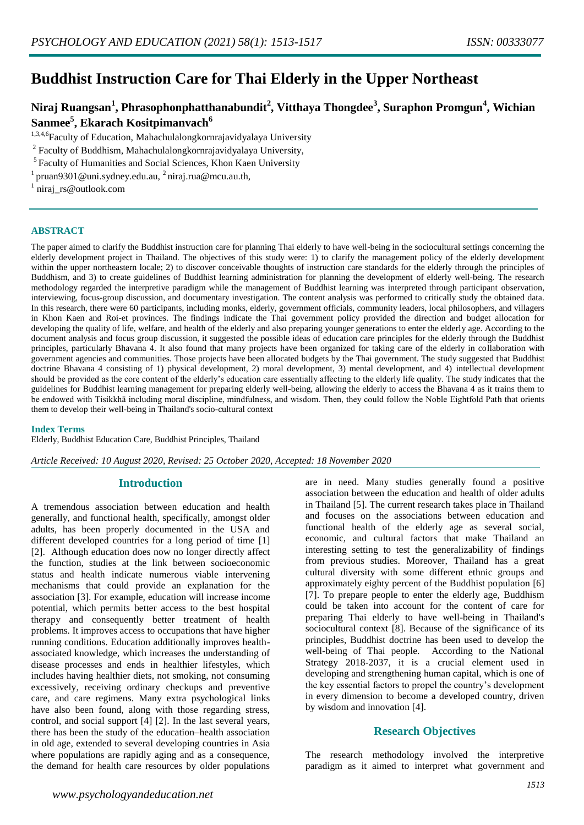# **Buddhist Instruction Care for Thai Elderly in the Upper Northeast**

## **Niraj Ruangsan<sup>1</sup> , Phrasophonphatthanabundit<sup>2</sup> , Vitthaya Thongdee<sup>3</sup> , Suraphon Promgun<sup>4</sup> , Wichian Sanmee<sup>5</sup> , Ekarach Kositpimanvach<sup>6</sup>**

1,3,4,6Faculty of Education, Mahachulalongkornrajavidyalaya University

<sup>2</sup> Faculty of Buddhism, Mahachulalongkornrajavidyalaya University,

<sup>5</sup>Faculty of Humanities and Social Sciences, Khon Kaen University

<sup>1</sup> pruan9301@uni.sydney.edu.au,  $^2$ niraj.rua@mcu.au.th,

<sup>1</sup> niraj\_rs@outlook.com

#### **ABSTRACT**

The paper aimed to clarify the Buddhist instruction care for planning Thai elderly to have well-being in the sociocultural settings concerning the elderly development project in Thailand. The objectives of this study were: 1) to clarify the management policy of the elderly development within the upper northeastern locale; 2) to discover conceivable thoughts of instruction care standards for the elderly through the principles of Buddhism, and 3) to create guidelines of Buddhist learning administration for planning the development of elderly well-being. The research methodology regarded the interpretive paradigm while the management of Buddhist learning was interpreted through participant observation, interviewing, focus-group discussion, and documentary investigation. The content analysis was performed to critically study the obtained data. In this research, there were 60 participants, including monks, elderly, government officials, community leaders, local philosophers, and villagers in Khon Kaen and Roi-et provinces. The findings indicate the Thai government policy provided the direction and budget allocation for developing the quality of life, welfare, and health of the elderly and also preparing younger generations to enter the elderly age. According to the document analysis and focus group discussion, it suggested the possible ideas of education care principles for the elderly through the Buddhist principles, particularly Bhavana 4. It also found that many projects have been organized for taking care of the elderly in collaboration with government agencies and communities. Those projects have been allocated budgets by the Thai government. The study suggested that Buddhist doctrine Bhavana 4 consisting of 1) physical development, 2) moral development, 3) mental development, and 4) intellectual development should be provided as the core content of the elderly's education care essentially affecting to the elderly life quality. The study indicates that the guidelines for Buddhist learning management for preparing elderly well-being, allowing the elderly to access the Bhavana 4 as it trains them to be endowed with Tisikkhā including moral discipline, mindfulness, and wisdom. Then, they could follow the Noble Eightfold Path that orients them to develop their well-being in Thailand's socio-cultural context

#### **Index Terms**

Elderly, Buddhist Education Care, Buddhist Principles, Thailand

*Article Received: 10 August 2020, Revised: 25 October 2020, Accepted: 18 November 2020*

### **Introduction**

A tremendous association between education and health generally, and functional health, specifically, amongst older adults, has been properly documented in the USA and different developed countries for a long period of time [1] [2]. Although education does now no longer directly affect the function, studies at the link between socioeconomic status and health indicate numerous viable intervening mechanisms that could provide an explanation for the association [3]. For example, education will increase income potential, which permits better access to the best hospital therapy and consequently better treatment of health problems. It improves access to occupations that have higher running conditions. Education additionally improves healthassociated knowledge, which increases the understanding of disease processes and ends in healthier lifestyles, which includes having healthier diets, not smoking, not consuming excessively, receiving ordinary checkups and preventive care, and care regimens. Many extra psychological links have also been found, along with those regarding stress, control, and social support [4] [2]. In the last several years, there has been the study of the education–health association in old age, extended to several developing countries in Asia where populations are rapidly aging and as a consequence, the demand for health care resources by older populations

are in need. Many studies generally found a positive association between the education and health of older adults in Thailand [5]. The current research takes place in Thailand and focuses on the associations between education and functional health of the elderly age as several social, economic, and cultural factors that make Thailand an interesting setting to test the generalizability of findings from previous studies. Moreover, Thailand has a great cultural diversity with some different ethnic groups and approximately eighty percent of the Buddhist population [6] [7]. To prepare people to enter the elderly age, Buddhism could be taken into account for the content of care for preparing Thai elderly to have well-being in Thailand's sociocultural context [8]. Because of the significance of its principles, Buddhist doctrine has been used to develop the well-being of Thai people. According to the National Strategy 2018-2037, it is a crucial element used in developing and strengthening human capital, which is one of the key essential factors to propel the country's development in every dimension to become a developed country, driven by wisdom and innovation [4].

## **Research Objectives**

The research methodology involved the interpretive paradigm as it aimed to interpret what government and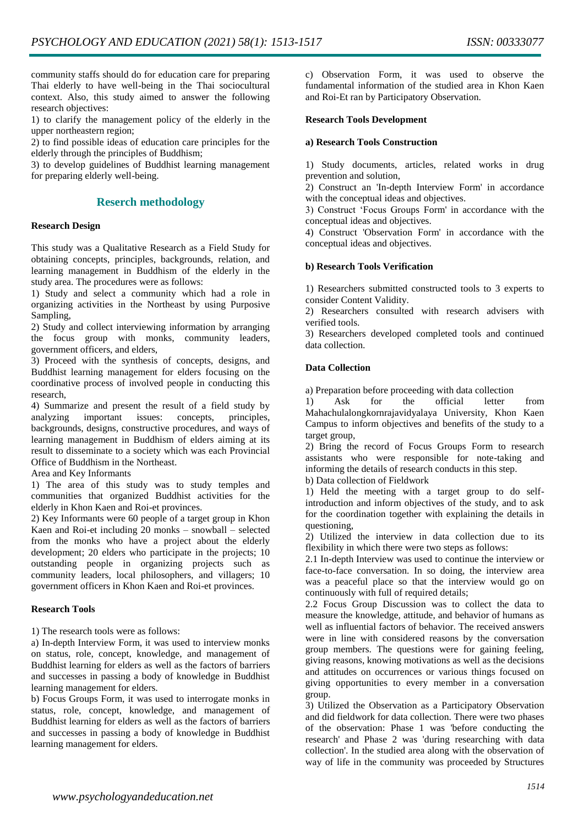community staffs should do for education care for preparing Thai elderly to have well-being in the Thai sociocultural context. Also, this study aimed to answer the following research objectives:

1) to clarify the management policy of the elderly in the upper northeastern region;

2) to find possible ideas of education care principles for the elderly through the principles of Buddhism;

3) to develop guidelines of Buddhist learning management for preparing elderly well-being.

## **Reserch methodology**

#### **Research Design**

This study was a Qualitative Research as a Field Study for obtaining concepts, principles, backgrounds, relation, and learning management in Buddhism of the elderly in the study area. The procedures were as follows:

1) Study and select a community which had a role in organizing activities in the Northeast by using Purposive Sampling,

2) Study and collect interviewing information by arranging the focus group with monks, community leaders, government officers, and elders,

3) Proceed with the synthesis of concepts, designs, and Buddhist learning management for elders focusing on the coordinative process of involved people in conducting this research,

4) Summarize and present the result of a field study by analyzing important issues: concepts, principles, backgrounds, designs, constructive procedures, and ways of learning management in Buddhism of elders aiming at its result to disseminate to a society which was each Provincial Office of Buddhism in the Northeast.

Area and Key Informants

1) The area of this study was to study temples and communities that organized Buddhist activities for the elderly in Khon Kaen and Roi-et provinces.

2) Key Informants were 60 people of a target group in Khon Kaen and Roi-et including 20 monks – snowball – selected from the monks who have a project about the elderly development; 20 elders who participate in the projects; 10 outstanding people in organizing projects such as community leaders, local philosophers, and villagers; 10 government officers in Khon Kaen and Roi-et provinces.

#### **Research Tools**

1) The research tools were as follows:

a) In-depth Interview Form, it was used to interview monks on status, role, concept, knowledge, and management of Buddhist learning for elders as well as the factors of barriers and successes in passing a body of knowledge in Buddhist learning management for elders.

b) Focus Groups Form, it was used to interrogate monks in status, role, concept, knowledge, and management of Buddhist learning for elders as well as the factors of barriers and successes in passing a body of knowledge in Buddhist learning management for elders.

c) Observation Form, it was used to observe the fundamental information of the studied area in Khon Kaen and Roi-Et ran by Participatory Observation.

#### **Research Tools Development**

#### **a) Research Tools Construction**

1) Study documents, articles, related works in drug prevention and solution,

2) Construct an 'In-depth Interview Form' in accordance with the conceptual ideas and objectives.

3) Construct 'Focus Groups Form' in accordance with the conceptual ideas and objectives.

4) Construct 'Observation Form' in accordance with the conceptual ideas and objectives.

#### **b) Research Tools Verification**

1) Researchers submitted constructed tools to 3 experts to consider Content Validity.

2) Researchers consulted with research advisers with verified tools.

3) Researchers developed completed tools and continued data collection.

#### **Data Collection**

a) Preparation before proceeding with data collection

1) Ask for the official letter from Mahachulalongkornrajavidyalaya University, Khon Kaen Campus to inform objectives and benefits of the study to a target group,

2) Bring the record of Focus Groups Form to research assistants who were responsible for note-taking and informing the details of research conducts in this step.

b) Data collection of Fieldwork

1) Held the meeting with a target group to do selfintroduction and inform objectives of the study, and to ask for the coordination together with explaining the details in questioning,

2) Utilized the interview in data collection due to its flexibility in which there were two steps as follows:

2.1 In-depth Interview was used to continue the interview or face-to-face conversation. In so doing, the interview area was a peaceful place so that the interview would go on continuously with full of required details;

2.2 Focus Group Discussion was to collect the data to measure the knowledge, attitude, and behavior of humans as well as influential factors of behavior. The received answers were in line with considered reasons by the conversation group members. The questions were for gaining feeling, giving reasons, knowing motivations as well as the decisions and attitudes on occurrences or various things focused on giving opportunities to every member in a conversation group.

3) Utilized the Observation as a Participatory Observation and did fieldwork for data collection. There were two phases of the observation: Phase 1 was 'before conducting the research' and Phase 2 was 'during researching with data collection'. In the studied area along with the observation of way of life in the community was proceeded by Structures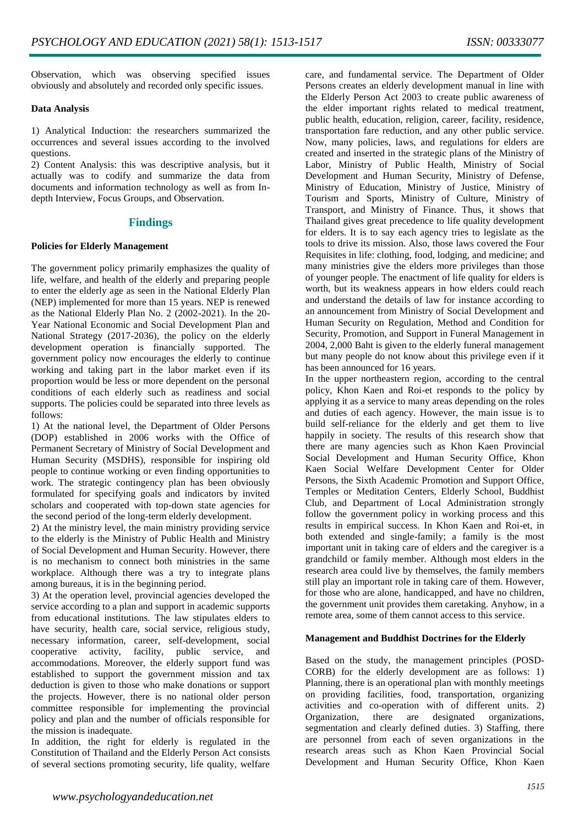Observation, which was observing specified issues obviously and absolutely and recorded only specific issues.

#### **Data Analysis**

1) Analytical Induction: the researchers summarized the occurrences and several issues according to the involved questions.

2) Content Analysis: this was descriptive analysis, but it actually was to codify and summarize the data from documents and information technology as well as from Indepth Interview, Focus Groups, and Observation.

## **Findings**

#### **Policies for Elderly Management**

The government policy primarily emphasizes the quality of life, welfare, and health of the elderly and preparing people to enter the elderly age as seen in the National Elderly Plan (NEP) implemented for more than 15 years. NEP is renewed as the National Elderly Plan No. 2 (2002-2021). In the 20- Year National Economic and Social Development Plan and National Strategy (2017-2036), the policy on the elderly development operation is financially supported. The government policy now encourages the elderly to continue working and taking part in the labor market even if its proportion would be less or more dependent on the personal conditions of each elderly such as readiness and social supports. The policies could be separated into three levels as follows:

1) At the national level, the Department of Older Persons (DOP) established in 2006 works with the Office of Permanent Secretary of Ministry of Social Development and Human Security (MSDHS), responsible for inspiring old people to continue working or even finding opportunities to work. The strategic contingency plan has been obviously formulated for specifying goals and indicators by invited scholars and cooperated with top-down state agencies for the second period of the long-term elderly development.

2) At the ministry level, the main ministry providing service to the elderly is the Ministry of Public Health and Ministry of Social Development and Human Security. However, there is no mechanism to connect both ministries in the same workplace. Although there was a try to integrate plans among bureaus, it is in the beginning period.

3) At the operation level, provincial agencies developed the service according to a plan and support in academic supports from educational institutions. The law stipulates elders to have security, health care, social service, religious study, necessary information, career, self-development, social cooperative activity, facility, public service, and accommodations. Moreover, the elderly support fund was established to support the government mission and tax deduction is given to those who make donations or support the projects. However, there is no national older person committee responsible for implementing the provincial policy and plan and the number of officials responsible for the mission is inadequate.

In addition, the right for elderly is regulated in the Constitution of Thailand and the Elderly Person Act consists of several sections promoting security, life quality, welfare

care, and fundamental service. The Department of Older Persons creates an elderly development manual in line with the Elderly Person Act 2003 to create public awareness of the elder important rights related to medical treatment, public health, education, religion, career, facility, residence, transportation fare reduction, and any other public service. Now, many policies, laws, and regulations for elders are created and inserted in the strategic plans of the Ministry of Labor, Ministry of Public Health, Ministry of Social Development and Human Security, Ministry of Defense, Ministry of Education, Ministry of Justice, Ministry of Tourism and Sports, Ministry of Culture, Ministry of Transport, and Ministry of Finance. Thus, it shows that Thailand gives great precedence to life quality development for elders. It is to say each agency tries to legislate as the tools to drive its mission. Also, those laws covered the Four Requisites in life: clothing, food, lodging, and medicine; and many ministries give the elders more privileges than those of younger people. The enactment of life quality for elders is worth, but its weakness appears in how elders could reach and understand the details of law for instance according to an announcement from Ministry of Social Development and Human Security on Regulation, Method and Condition for Security, Promotion, and Support in Funeral Management in 2004, 2,000 Baht is given to the elderly funeral management but many people do not know about this privilege even if it has been announced for 16 years.

In the upper northeastern region, according to the central policy, Khon Kaen and Roi-et responds to the policy by applying it as a service to many areas depending on the roles and duties of each agency. However, the main issue is to build self-reliance for the elderly and get them to live happily in society. The results of this research show that there are many agencies such as Khon Kaen Provincial Social Development and Human Security Office, Khon Kaen Social Welfare Development Center for Older Persons, the Sixth Academic Promotion and Support Office, Temples or Meditation Centers, Elderly School, Buddhist Club, and Department of Local Administration strongly follow the government policy in working process and this results in empirical success. In Khon Kaen and Roi-et, in both extended and single-family; a family is the most important unit in taking care of elders and the caregiver is a grandchild or family member. Although most elders in the research area could live by themselves, the family members still play an important role in taking care of them. However, for those who are alone, handicapped, and have no children, the government unit provides them caretaking. Anyhow, in a remote area, some of them cannot access to this service.

#### **Management and Buddhist Doctrines for the Elderly**

Based on the study, the management principles (POSD-CORB) for the elderly development are as follows: 1) Planning, there is an operational plan with monthly meetings on providing facilities, food, transportation, organizing activities and co-operation with of different units. 2) Organization, there are designated organizations, segmentation and clearly defined duties. 3) Staffing, there are personnel from each of seven organizations in the research areas such as Khon Kaen Provincial Social Development and Human Security Office, Khon Kaen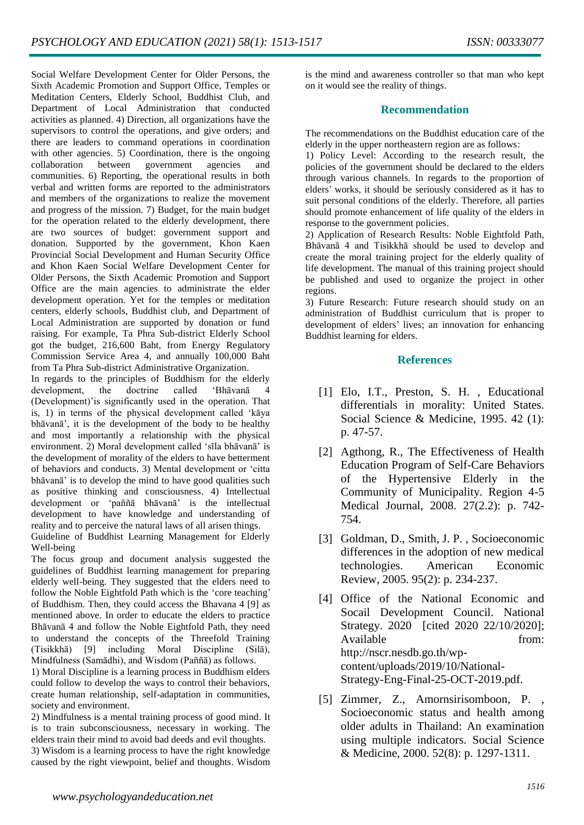Social Welfare Development Center for Older Persons, the Sixth Academic Promotion and Support Office, Temples or Meditation Centers, Elderly School, Buddhist Club, and Department of Local Administration that conducted activities as planned. 4) Direction, all organizations have the supervisors to control the operations, and give orders; and there are leaders to command operations in coordination with other agencies. 5) Coordination, there is the ongoing collaboration between government agencies and communities. 6) Reporting, the operational results in both verbal and written forms are reported to the administrators and members of the organizations to realize the movement and progress of the mission. 7) Budget, for the main budget for the operation related to the elderly development, there are two sources of budget: government support and donation. Supported by the government, Khon Kaen Provincial Social Development and Human Security Office and Khon Kaen Social Welfare Development Center for Older Persons, the Sixth Academic Promotion and Support Office are the main agencies to administrate the elder development operation. Yet for the temples or meditation centers, elderly schools, Buddhist club, and Department of Local Administration are supported by donation or fund raising. For example, Ta Phra Sub-district Elderly School got the budget, 216,600 Baht, from Energy Regulatory Commission Service Area 4, and annually 100,000 Baht from Ta Phra Sub-district Administrative Organization.

In regards to the principles of Buddhism for the elderly development, the doctrine called 'Bhāvanā 4 (Development)'is significantly used in the operation. That is, 1) in terms of the physical development called 'kāya bhāvanā', it is the development of the body to be healthy and most importantly a relationship with the physical environment. 2) Moral development called 'sīla bhāvanā' is the development of morality of the elders to have betterment of behaviors and conducts. 3) Mental development or 'citta bhāvanā' is to develop the mind to have good qualities such as positive thinking and consciousness. 4) Intellectual development or 'paññā bhāvanā' is the intellectual development to have knowledge and understanding of reality and to perceive the natural laws of all arisen things.

Guideline of Buddhist Learning Management for Elderly Well-being

The focus group and document analysis suggested the guidelines of Buddhist learning management for preparing elderly well-being. They suggested that the elders need to follow the Noble Eightfold Path which is the 'core teaching' of Buddhism. Then, they could access the Bhavana 4 [9] as mentioned above. In order to educate the elders to practice Bhāvanā 4 and follow the Noble Eightfold Path, they need to understand the concepts of the Threefold Training (Tisikkhā) [9] including Moral Discipline (Silā), Mindfulness (Samādhi), and Wisdom (Paññā) as follows.

1) Moral Discipline is a learning process in Buddhism elders could follow to develop the ways to control their behaviors, create human relationship, self-adaptation in communities, society and environment.

2) Mindfulness is a mental training process of good mind. It is to train subconsciousness, necessary in working. The elders train their mind to avoid bad deeds and evil thoughts. 3) Wisdom is a learning process to have the right knowledge caused by the right viewpoint, belief and thoughts. Wisdom

is the mind and awareness controller so that man who kept on it would see the reality of things.

## **Recommendation**

The recommendations on the Buddhist education care of the elderly in the upper northeastern region are as follows:

1) Policy Level: According to the research result, the policies of the government should be declared to the elders through various channels. In regards to the proportion of elders' works, it should be seriously considered as it has to suit personal conditions of the elderly. Therefore, all parties should promote enhancement of life quality of the elders in response to the government policies.

2) Application of Research Results: Noble Eightfold Path, Bhāvanā 4 and Tisikkhā should be used to develop and create the moral training project for the elderly quality of life development. The manual of this training project should be published and used to organize the project in other regions.

3) Future Research: Future research should study on an administration of Buddhist curriculum that is proper to development of elders' lives; an innovation for enhancing Buddhist learning for elders.

## **References**

- [1] Elo, I.T., Preston, S. H. , Educational differentials in morality: United States. Social Science & Medicine, 1995. 42 (1): p. 47-57.
- [2] Agthong, R., The Effectiveness of Health Education Program of Self-Care Behaviors of the Hypertensive Elderly in the Community of Municipality. Region 4-5 Medical Journal, 2008. 27(2.2): p. 742- 754.
- [3] Goldman, D., Smith, J. P. , Socioeconomic differences in the adoption of new medical technologies. American Economic Review, 2005. 95(2): p. 234-237.
- [4] Office of the National Economic and Socail Development Council. National Strategy. 2020 [cited 2020 22/10/2020]; Available from: http://nscr.nesdb.go.th/wpcontent/uploads/2019/10/National-Strategy-Eng-Final-25-OCT-2019.pdf.
- [5] Zimmer, Z., Amornsirisomboon, P. , Socioeconomic status and health among older adults in Thailand: An examination using multiple indicators. Social Science & Medicine, 2000. 52(8): p. 1297-1311.